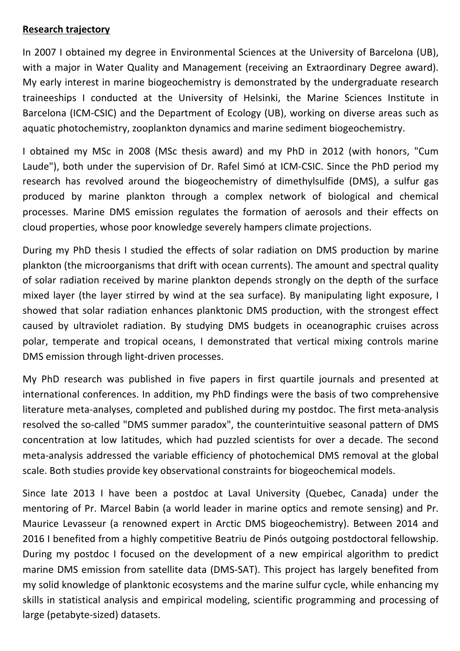## **Research trajectory**

In 2007 I obtained my degree in Environmental Sciences at the University of Barcelona (UB), with a major in Water Quality and Management (receiving an Extraordinary Degree award). My early interest in marine biogeochemistry is demonstrated by the undergraduate research traineeships I conducted at the University of Helsinki, the Marine Sciences Institute in Barcelona (ICM-CSIC) and the Department of Ecology (UB), working on diverse areas such as aquatic photochemistry, zooplankton dynamics and marine sediment biogeochemistry.

I obtained my MSc in 2008 (MSc thesis award) and my PhD in 2012 (with honors, "Cum Laude"), both under the supervision of Dr. Rafel Simó at ICM-CSIC. Since the PhD period my research has revolved around the biogeochemistry of dimethylsulfide (DMS), a sulfur gas produced by marine plankton through a complex network of biological and chemical processes. Marine DMS emission regulates the formation of aerosols and their effects on cloud properties, whose poor knowledge severely hampers climate projections.

During my PhD thesis I studied the effects of solar radiation on DMS production by marine plankton (the microorganisms that drift with ocean currents). The amount and spectral quality of solar radiation received by marine plankton depends strongly on the depth of the surface mixed layer (the layer stirred by wind at the sea surface). By manipulating light exposure, I showed that solar radiation enhances planktonic DMS production, with the strongest effect caused by ultraviolet radiation. By studying DMS budgets in oceanographic cruises across polar, temperate and tropical oceans, I demonstrated that vertical mixing controls marine DMS emission through light-driven processes.

My PhD research was published in five papers in first quartile journals and presented at international conferences. In addition, my PhD findings were the basis of two comprehensive literature meta-analyses, completed and published during my postdoc. The first meta-analysis resolved the so-called "DMS summer paradox", the counterintuitive seasonal pattern of DMS concentration at low latitudes, which had puzzled scientists for over a decade. The second meta-analysis addressed the variable efficiency of photochemical DMS removal at the global scale. Both studies provide key observational constraints for biogeochemical models.

Since late 2013 I have been a postdoc at Laval University (Quebec, Canada) under the mentoring of Pr. Marcel Babin (a world leader in marine optics and remote sensing) and Pr. Maurice Levasseur (a renowned expert in Arctic DMS biogeochemistry). Between 2014 and 2016 I benefited from a highly competitive Beatriu de Pinós outgoing postdoctoral fellowship. During my postdoc I focused on the development of a new empirical algorithm to predict marine DMS emission from satellite data (DMS-SAT). This project has largely benefited from my solid knowledge of planktonic ecosystems and the marine sulfur cycle, while enhancing my skills in statistical analysis and empirical modeling, scientific programming and processing of large (petabyte-sized) datasets.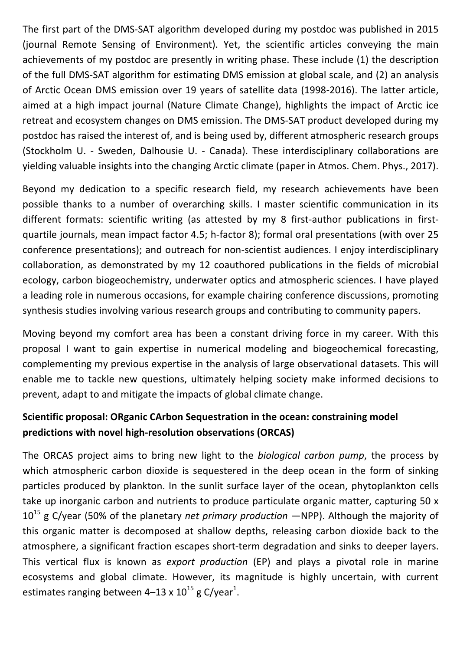The first part of the DMS-SAT algorithm developed during my postdoc was published in 2015 (journal Remote Sensing of Environment). Yet, the scientific articles conveying the main achievements of my postdoc are presently in writing phase. These include (1) the description of the full DMS-SAT algorithm for estimating DMS emission at global scale, and (2) an analysis of Arctic Ocean DMS emission over 19 years of satellite data (1998-2016). The latter article, aimed at a high impact journal (Nature Climate Change), highlights the impact of Arctic ice retreat and ecosystem changes on DMS emission. The DMS-SAT product developed during my postdoc has raised the interest of, and is being used by, different atmospheric research groups (Stockholm U. - Sweden, Dalhousie U. - Canada). These interdisciplinary collaborations are yielding valuable insights into the changing Arctic climate (paper in Atmos. Chem. Phys., 2017).

Beyond my dedication to a specific research field, my research achievements have been possible thanks to a number of overarching skills. I master scientific communication in its different formats: scientific writing (as attested by my 8 first-author publications in firstquartile journals, mean impact factor 4.5; h-factor 8); formal oral presentations (with over 25 conference presentations); and outreach for non-scientist audiences. I enjoy interdisciplinary collaboration, as demonstrated by my 12 coauthored publications in the fields of microbial ecology, carbon biogeochemistry, underwater optics and atmospheric sciences. I have played a leading role in numerous occasions, for example chairing conference discussions, promoting synthesis studies involving various research groups and contributing to community papers.

Moving beyond my comfort area has been a constant driving force in my career. With this proposal I want to gain expertise in numerical modeling and biogeochemical forecasting, complementing my previous expertise in the analysis of large observational datasets. This will enable me to tackle new questions, ultimately helping society make informed decisions to prevent, adapt to and mitigate the impacts of global climate change.

## **Scientific proposal: ORganic CArbon Sequestration in the ocean: constraining model** predictions with novel high-resolution observations (ORCAS)

The ORCAS project aims to bring new light to the *biological carbon pump*, the process by which atmospheric carbon dioxide is sequestered in the deep ocean in the form of sinking particles produced by plankton. In the sunlit surface layer of the ocean, phytoplankton cells take up inorganic carbon and nutrients to produce particulate organic matter, capturing 50 x  $10^{15}$  g C/year (50% of the planetary *net primary production*  $-NPP$ ). Although the majority of this organic matter is decomposed at shallow depths, releasing carbon dioxide back to the atmosphere, a significant fraction escapes short-term degradation and sinks to deeper layers. This vertical flux is known as *export production* (EP) and plays a pivotal role in marine ecosystems and global climate. However, its magnitude is highly uncertain, with current estimates ranging between 4–13 x  $10^{15}$  g C/year<sup>1</sup>.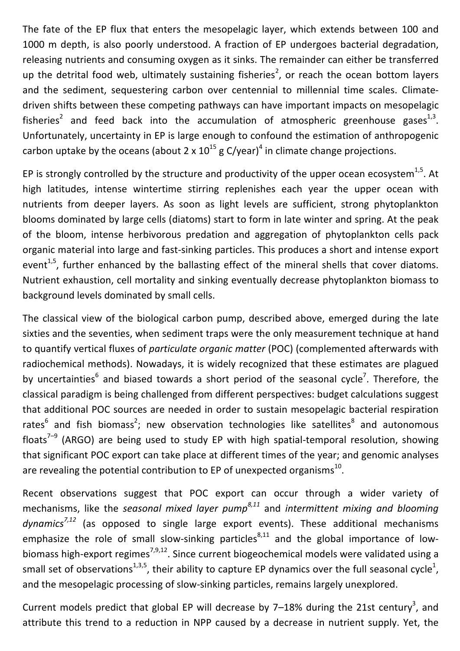The fate of the EP flux that enters the mesopelagic layer, which extends between 100 and 1000 m depth, is also poorly understood. A fraction of EP undergoes bacterial degradation, releasing nutrients and consuming oxygen as it sinks. The remainder can either be transferred up the detrital food web, ultimately sustaining fisheries<sup>2</sup>, or reach the ocean bottom layers and the sediment, sequestering carbon over centennial to millennial time scales. Climatedriven shifts between these competing pathways can have important impacts on mesopelagic fisheries<sup>2</sup> and feed back into the accumulation of atmospheric greenhouse gases<sup>1,3</sup>. Unfortunately, uncertainty in EP is large enough to confound the estimation of anthropogenic carbon uptake by the oceans (about  $2 \times 10^{15}$  g C/year)<sup>4</sup> in climate change projections.

EP is strongly controlled by the structure and productivity of the upper ocean ecosystem<sup>1,5</sup>. At high latitudes, intense wintertime stirring replenishes each year the upper ocean with nutrients from deeper layers. As soon as light levels are sufficient, strong phytoplankton blooms dominated by large cells (diatoms) start to form in late winter and spring. At the peak of the bloom, intense herbivorous predation and aggregation of phytoplankton cells pack organic material into large and fast-sinking particles. This produces a short and intense export event<sup>1,5</sup>, further enhanced by the ballasting effect of the mineral shells that cover diatoms. Nutrient exhaustion, cell mortality and sinking eventually decrease phytoplankton biomass to background levels dominated by small cells.

The classical view of the biological carbon pump, described above, emerged during the late sixties and the seventies, when sediment traps were the only measurement technique at hand to quantify vertical fluxes of *particulate organic matter* (POC) (complemented afterwards with radiochemical methods). Nowadays, it is widely recognized that these estimates are plagued by uncertainties<sup>6</sup> and biased towards a short period of the seasonal cycle<sup>7</sup>. Therefore, the classical paradigm is being challenged from different perspectives: budget calculations suggest that additional POC sources are needed in order to sustain mesopelagic bacterial respiration rates<sup>6</sup> and fish biomass<sup>2</sup>; new observation technologies like satellites<sup>8</sup> and autonomous floats<sup>7-9</sup> (ARGO) are being used to study EP with high spatial-temporal resolution, showing that significant POC export can take place at different times of the year; and genomic analyses are revealing the potential contribution to EP of unexpected organisms<sup>10</sup>.

Recent observations suggest that POC export can occur through a wider variety of mechanisms, like the *seasonal mixed layer pump<sup>8,11</sup>* and *intermittent mixing and blooming* dynamics<sup>7,12</sup> (as opposed to single large export events). These additional mechanisms emphasize the role of small slow-sinking particles<sup>8,11</sup> and the global importance of lowbiomass high-export regimes<sup>7,9,12</sup>. Since current biogeochemical models were validated using a small set of observations<sup>1,3,5</sup>, their ability to capture EP dynamics over the full seasonal cycle<sup>1</sup>, and the mesopelagic processing of slow-sinking particles, remains largely unexplored.

Current models predict that global EP will decrease by 7-18% during the 21st century<sup>3</sup>, and attribute this trend to a reduction in NPP caused by a decrease in nutrient supply. Yet, the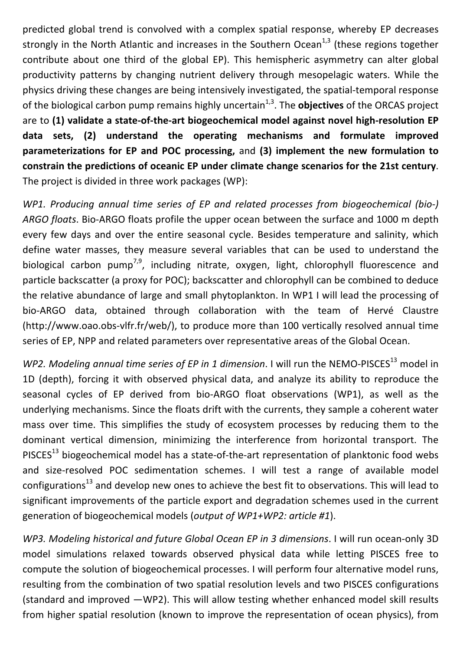predicted global trend is convolved with a complex spatial response, whereby EP decreases strongly in the North Atlantic and increases in the Southern Ocean<sup>1,3</sup> (these regions together contribute about one third of the global EP). This hemispheric asymmetry can alter global productivity patterns by changing nutrient delivery through mesopelagic waters. While the physics driving these changes are being intensively investigated, the spatial-temporal response of the biological carbon pump remains highly uncertain<sup>1,3</sup>. The **objectives** of the ORCAS project are to (1) validate a state-of-the-art biogeochemical model against novel high-resolution EP data sets, (2) understand the operating mechanisms and formulate improved **parameterizations for EP and POC processing, and (3) implement the new formulation to** constrain the predictions of oceanic EP under climate change scenarios for the 21st century. The project is divided in three work packages (WP):

WP1. Producing annual time series of EP and related processes from biogeochemical (bio-) ARGO floats. Bio-ARGO floats profile the upper ocean between the surface and 1000 m depth every few days and over the entire seasonal cycle. Besides temperature and salinity, which define water masses, they measure several variables that can be used to understand the biological carbon  $pump^{7,9}$ , including nitrate, oxygen, light, chlorophyll fluorescence and particle backscatter (a proxy for POC); backscatter and chlorophyll can be combined to deduce the relative abundance of large and small phytoplankton. In WP1 I will lead the processing of bio-ARGO data, obtained through collaboration with the team of Hervé Claustre (http://www.oao.obs-vlfr.fr/web/), to produce more than 100 vertically resolved annual time series of EP, NPP and related parameters over representative areas of the Global Ocean.

*WP2. Modeling annual time series of EP in 1 dimension.* I will run the NEMO-PISCES<sup>13</sup> model in 1D (depth), forcing it with observed physical data, and analyze its ability to reproduce the seasonal cycles of EP derived from bio-ARGO float observations (WP1), as well as the underlying mechanisms. Since the floats drift with the currents, they sample a coherent water mass over time. This simplifies the study of ecosystem processes by reducing them to the dominant vertical dimension, minimizing the interference from horizontal transport. The PISCES<sup>13</sup> biogeochemical model has a state-of-the-art representation of planktonic food webs and size-resolved POC sedimentation schemes. I will test a range of available model configurations<sup>13</sup> and develop new ones to achieve the best fit to observations. This will lead to significant improvements of the particle export and degradation schemes used in the current generation of biogeochemical models (*output of WP1+WP2: article #1*).

*WP3. Modeling historical and future Global Ocean EP in 3 dimensions.* I will run ocean-only 3D model simulations relaxed towards observed physical data while letting PISCES free to compute the solution of biogeochemical processes. I will perform four alternative model runs, resulting from the combination of two spatial resolution levels and two PISCES configurations (standard and improved  $-WP2$ ). This will allow testing whether enhanced model skill results from higher spatial resolution (known to improve the representation of ocean physics), from